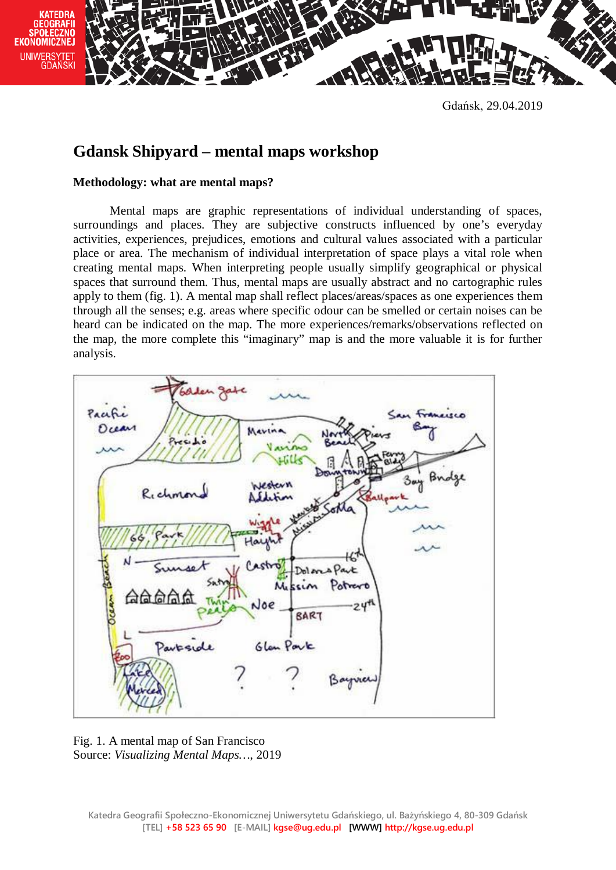



Gdańsk, 29.04.2019

## **Gdansk Shipyard – mental maps workshop**

## **Methodology: what are mental maps?**

Mental maps are graphic representations of individual understanding of spaces, surroundings and places. They are subjective constructs influenced by one's everyday activities, experiences, prejudices, emotions and cultural values associated with a particular place or area. The mechanism of individual interpretation of space plays a vital role when creating mental maps. When interpreting people usually simplify geographical or physical spaces that surround them. Thus, mental maps are usually abstract and no cartographic rules apply to them (fig. 1). A mental map shall reflect places/areas/spaces as one experiences them through all the senses; e.g. areas where specific odour can be smelled or certain noises can be heard can be indicated on the map. The more experiences/remarks/observations reflected on the map, the more complete this "imaginary" map is and the more valuable it is for further analysis.



Fig. 1. A mental map of San Francisco Source: *Visualizing Mental Maps…*, 2019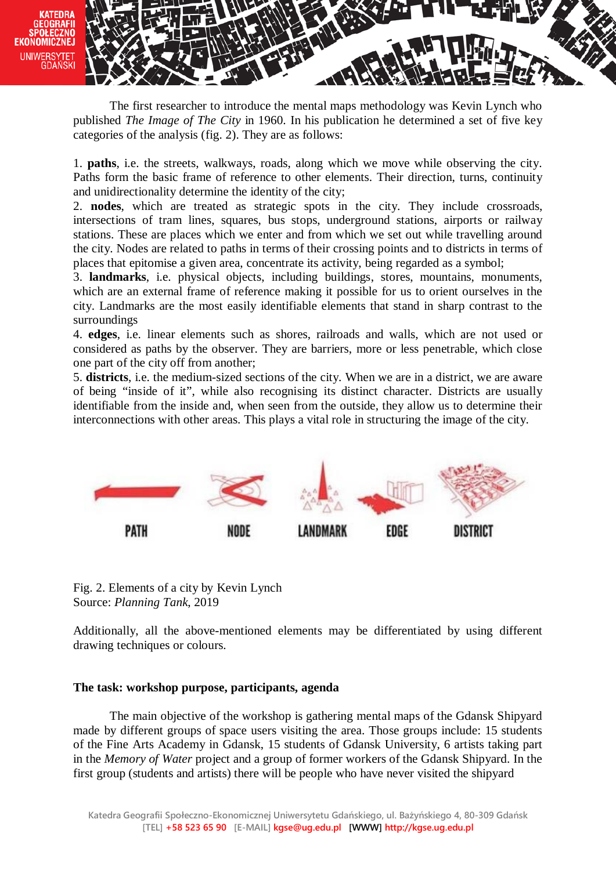

The first researcher to introduce the mental maps methodology was Kevin Lynch who published *The Image of The City* in 1960. In his publication he determined a set of five key categories of the analysis (fig. 2). They are as follows:

1. **paths**, i.e. the streets, walkways, roads, along which we move while observing the city. Paths form the basic frame of reference to other elements. Their direction, turns, continuity and unidirectionality determine the identity of the city;

2. **nodes**, which are treated as strategic spots in the city. They include crossroads, intersections of tram lines, squares, bus stops, underground stations, airports or railway stations. These are places which we enter and from which we set out while travelling around the city. Nodes are related to paths in terms of their crossing points and to districts in terms of places that epitomise a given area, concentrate its activity, being regarded as a symbol;

3. **landmarks**, i.e. physical objects, including buildings, stores, mountains, monuments, which are an external frame of reference making it possible for us to orient ourselves in the city. Landmarks are the most easily identifiable elements that stand in sharp contrast to the surroundings

4. **edges**, i.e. linear elements such as shores, railroads and walls, which are not used or considered as paths by the observer. They are barriers, more or less penetrable, which close one part of the city off from another;

5. **districts**, i.e. the medium-sized sections of the city. When we are in a district, we are aware of being "inside of it", while also recognising its distinct character. Districts are usually identifiable from the inside and, when seen from the outside, they allow us to determine their interconnections with other areas. This plays a vital role in structuring the image of the city.



Fig. 2. Elements of a city by Kevin Lynch Source: *Planning Tank*, 2019

Additionally, all the above-mentioned elements may be differentiated by using different drawing techniques or colours.

## **The task: workshop purpose, participants, agenda**

The main objective of the workshop is gathering mental maps of the Gdansk Shipyard made by different groups of space users visiting the area. Those groups include: 15 students of the Fine Arts Academy in Gdansk, 15 students of Gdansk University, 6 artists taking part in the *Memory of Water* project and a group of former workers of the Gdansk Shipyard. In the first group (students and artists) there will be people who have never visited the shipyard